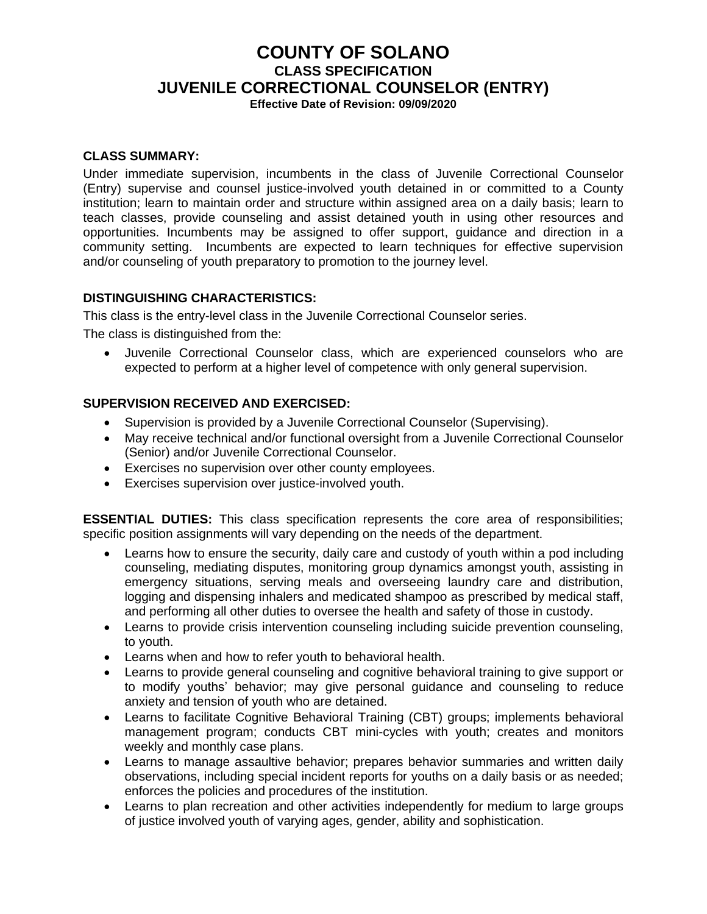# **COUNTY OF SOLANO CLASS SPECIFICATION JUVENILE CORRECTIONAL COUNSELOR (ENTRY)**

**Effective Date of Revision: 09/09/2020**

## **CLASS SUMMARY:**

Under immediate supervision, incumbents in the class of Juvenile Correctional Counselor (Entry) supervise and counsel justice-involved youth detained in or committed to a County institution; learn to maintain order and structure within assigned area on a daily basis; learn to teach classes, provide counseling and assist detained youth in using other resources and opportunities. Incumbents may be assigned to offer support, guidance and direction in a community setting. Incumbents are expected to learn techniques for effective supervision and/or counseling of youth preparatory to promotion to the journey level.

# **DISTINGUISHING CHARACTERISTICS:**

This class is the entry-level class in the Juvenile Correctional Counselor series.

The class is distinguished from the:

• Juvenile Correctional Counselor class, which are experienced counselors who are expected to perform at a higher level of competence with only general supervision.

## **SUPERVISION RECEIVED AND EXERCISED:**

- Supervision is provided by a Juvenile Correctional Counselor (Supervising).
- May receive technical and/or functional oversight from a Juvenile Correctional Counselor (Senior) and/or Juvenile Correctional Counselor.
- Exercises no supervision over other county employees.
- Exercises supervision over justice-involved youth.

**ESSENTIAL DUTIES:** This class specification represents the core area of responsibilities; specific position assignments will vary depending on the needs of the department.

- Learns how to ensure the security, daily care and custody of youth within a pod including counseling, mediating disputes, monitoring group dynamics amongst youth, assisting in emergency situations, serving meals and overseeing laundry care and distribution, logging and dispensing inhalers and medicated shampoo as prescribed by medical staff, and performing all other duties to oversee the health and safety of those in custody.
- Learns to provide crisis intervention counseling including suicide prevention counseling, to youth.
- Learns when and how to refer youth to behavioral health.
- Learns to provide general counseling and cognitive behavioral training to give support or to modify youths' behavior; may give personal guidance and counseling to reduce anxiety and tension of youth who are detained.
- Learns to facilitate Cognitive Behavioral Training (CBT) groups; implements behavioral management program; conducts CBT mini-cycles with youth; creates and monitors weekly and monthly case plans.
- Learns to manage assaultive behavior; prepares behavior summaries and written daily observations, including special incident reports for youths on a daily basis or as needed; enforces the policies and procedures of the institution.
- Learns to plan recreation and other activities independently for medium to large groups of justice involved youth of varying ages, gender, ability and sophistication.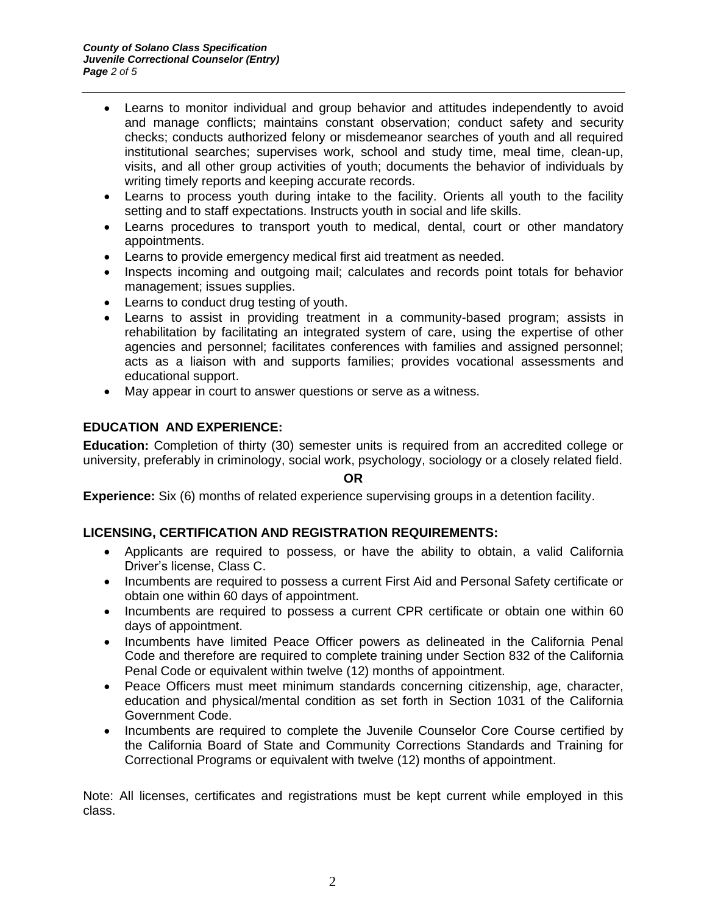- Learns to monitor individual and group behavior and attitudes independently to avoid and manage conflicts; maintains constant observation; conduct safety and security checks; conducts authorized felony or misdemeanor searches of youth and all required institutional searches; supervises work, school and study time, meal time, clean-up, visits, and all other group activities of youth; documents the behavior of individuals by writing timely reports and keeping accurate records.
- Learns to process youth during intake to the facility. Orients all youth to the facility setting and to staff expectations. Instructs youth in social and life skills.
- Learns procedures to transport youth to medical, dental, court or other mandatory appointments.
- Learns to provide emergency medical first aid treatment as needed.
- Inspects incoming and outgoing mail; calculates and records point totals for behavior management; issues supplies.
- Learns to conduct drug testing of youth.
- Learns to assist in providing treatment in a community-based program; assists in rehabilitation by facilitating an integrated system of care, using the expertise of other agencies and personnel; facilitates conferences with families and assigned personnel; acts as a liaison with and supports families; provides vocational assessments and educational support.
- May appear in court to answer questions or serve as a witness.

# **EDUCATION AND EXPERIENCE:**

**Education:** Completion of thirty (30) semester units is required from an accredited college or university, preferably in criminology, social work, psychology, sociology or a closely related field.

#### **OR**

**Experience:** Six (6) months of related experience supervising groups in a detention facility.

# **LICENSING, CERTIFICATION AND REGISTRATION REQUIREMENTS:**

- Applicants are required to possess, or have the ability to obtain, a valid California Driver's license, Class C.
- Incumbents are required to possess a current First Aid and Personal Safety certificate or obtain one within 60 days of appointment.
- Incumbents are required to possess a current CPR certificate or obtain one within 60 days of appointment.
- Incumbents have limited Peace Officer powers as delineated in the California Penal Code and therefore are required to complete training under Section 832 of the California Penal Code or equivalent within twelve (12) months of appointment.
- Peace Officers must meet minimum standards concerning citizenship, age, character, education and physical/mental condition as set forth in Section 1031 of the California Government Code.
- Incumbents are required to complete the Juvenile Counselor Core Course certified by the California Board of State and Community Corrections Standards and Training for Correctional Programs or equivalent with twelve (12) months of appointment.

Note: All licenses, certificates and registrations must be kept current while employed in this class.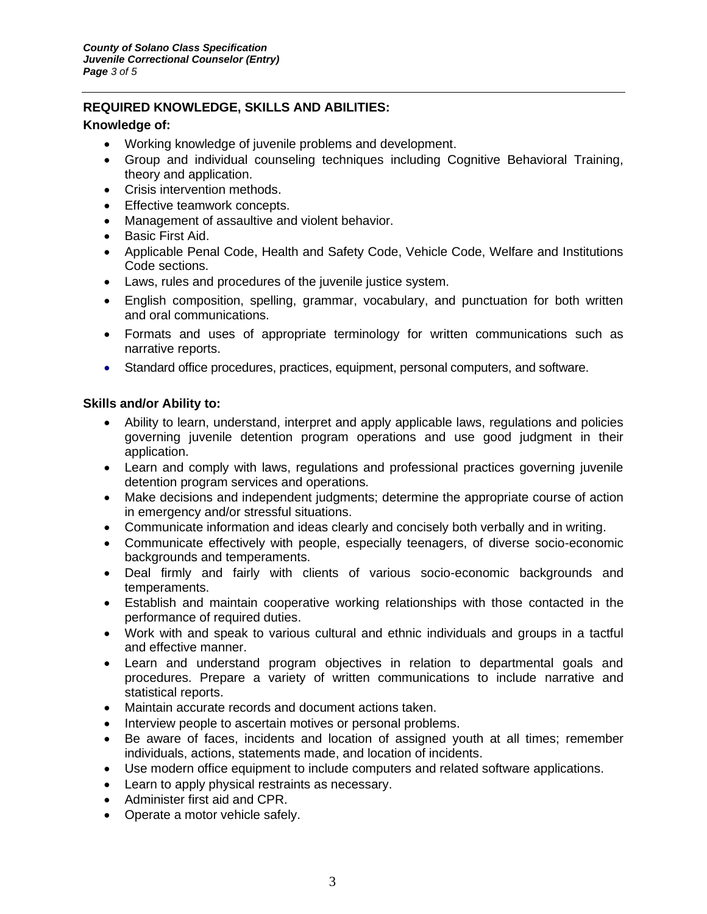# **REQUIRED KNOWLEDGE, SKILLS AND ABILITIES:**

#### **Knowledge of:**

- Working knowledge of juvenile problems and development.
- Group and individual counseling techniques including Cognitive Behavioral Training, theory and application.
- Crisis intervention methods.
- Effective teamwork concepts.
- Management of assaultive and violent behavior.
- Basic First Aid.
- Applicable Penal Code, Health and Safety Code, Vehicle Code, Welfare and Institutions Code sections.
- Laws, rules and procedures of the juvenile justice system.
- English composition, spelling, grammar, vocabulary, and punctuation for both written and oral communications.
- Formats and uses of appropriate terminology for written communications such as narrative reports.
- Standard office procedures, practices, equipment, personal computers, and software.

## **Skills and/or Ability to:**

- Ability to learn, understand, interpret and apply applicable laws, regulations and policies governing juvenile detention program operations and use good judgment in their application.
- Learn and comply with laws, regulations and professional practices governing juvenile detention program services and operations.
- Make decisions and independent judgments; determine the appropriate course of action in emergency and/or stressful situations.
- Communicate information and ideas clearly and concisely both verbally and in writing.
- Communicate effectively with people, especially teenagers, of diverse socio-economic backgrounds and temperaments.
- Deal firmly and fairly with clients of various socio-economic backgrounds and temperaments.
- Establish and maintain cooperative working relationships with those contacted in the performance of required duties.
- Work with and speak to various cultural and ethnic individuals and groups in a tactful and effective manner.
- Learn and understand program objectives in relation to departmental goals and procedures. Prepare a variety of written communications to include narrative and statistical reports.
- Maintain accurate records and document actions taken.
- Interview people to ascertain motives or personal problems.
- Be aware of faces, incidents and location of assigned youth at all times; remember individuals, actions, statements made, and location of incidents.
- Use modern office equipment to include computers and related software applications.
- Learn to apply physical restraints as necessary.
- Administer first aid and CPR.
- Operate a motor vehicle safely.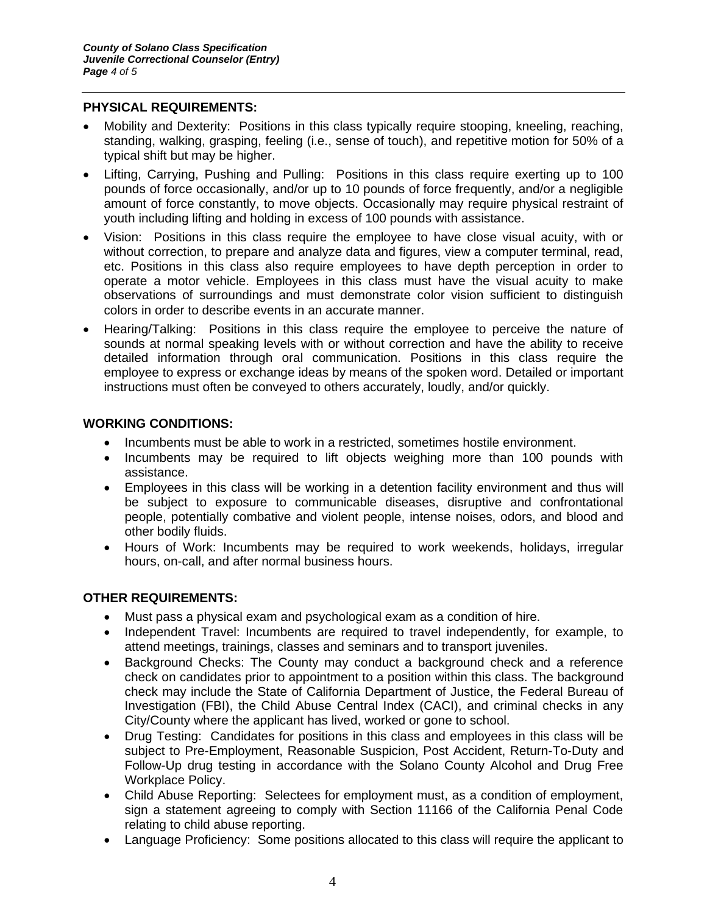## **PHYSICAL REQUIREMENTS:**

- Mobility and Dexterity: Positions in this class typically require stooping, kneeling, reaching, standing, walking, grasping, feeling (i.e., sense of touch), and repetitive motion for 50% of a typical shift but may be higher.
- Lifting, Carrying, Pushing and Pulling: Positions in this class require exerting up to 100 pounds of force occasionally, and/or up to 10 pounds of force frequently, and/or a negligible amount of force constantly, to move objects. Occasionally may require physical restraint of youth including lifting and holding in excess of 100 pounds with assistance.
- Vision: Positions in this class require the employee to have close visual acuity, with or without correction, to prepare and analyze data and figures, view a computer terminal, read, etc. Positions in this class also require employees to have depth perception in order to operate a motor vehicle. Employees in this class must have the visual acuity to make observations of surroundings and must demonstrate color vision sufficient to distinguish colors in order to describe events in an accurate manner.
- Hearing/Talking: Positions in this class require the employee to perceive the nature of sounds at normal speaking levels with or without correction and have the ability to receive detailed information through oral communication. Positions in this class require the employee to express or exchange ideas by means of the spoken word. Detailed or important instructions must often be conveyed to others accurately, loudly, and/or quickly.

# **WORKING CONDITIONS:**

- Incumbents must be able to work in a restricted, sometimes hostile environment.
- Incumbents may be required to lift objects weighing more than 100 pounds with assistance.
- Employees in this class will be working in a detention facility environment and thus will be subject to exposure to communicable diseases, disruptive and confrontational people, potentially combative and violent people, intense noises, odors, and blood and other bodily fluids.
- Hours of Work: Incumbents may be required to work weekends, holidays, irregular hours, on-call, and after normal business hours.

# **OTHER REQUIREMENTS:**

- Must pass a physical exam and psychological exam as a condition of hire.
- Independent Travel: Incumbents are required to travel independently, for example, to attend meetings, trainings, classes and seminars and to transport juveniles.
- Background Checks: The County may conduct a background check and a reference check on candidates prior to appointment to a position within this class. The background check may include the State of California Department of Justice, the Federal Bureau of Investigation (FBI), the Child Abuse Central Index (CACI), and criminal checks in any City/County where the applicant has lived, worked or gone to school.
- Drug Testing: Candidates for positions in this class and employees in this class will be subject to Pre-Employment, Reasonable Suspicion, Post Accident, Return-To-Duty and Follow-Up drug testing in accordance with the Solano County Alcohol and Drug Free Workplace Policy.
- Child Abuse Reporting: Selectees for employment must, as a condition of employment, sign a statement agreeing to comply with Section 11166 of the California Penal Code relating to child abuse reporting.
- Language Proficiency: Some positions allocated to this class will require the applicant to